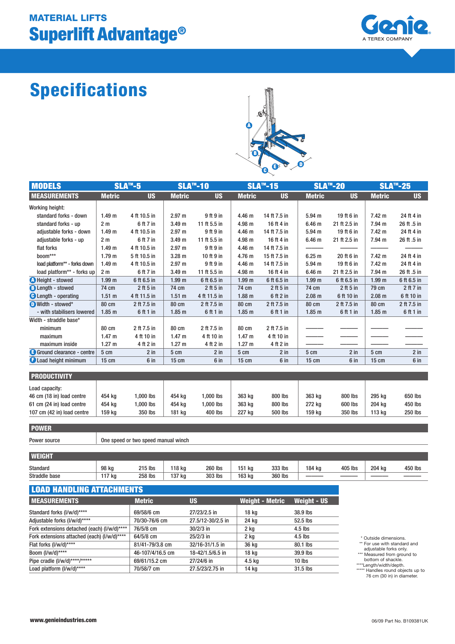# Superlift Advantage® MATERIAL LIFTS



# Specifications



| <b>MODELS</b>                | $SLA^{m} - 5$     |              | <b>SLA™-10</b>    |              | <b>SLA™-15</b>    |              | <b>SLA™-20</b>    |              | <b>SLA™-25</b>    |               |
|------------------------------|-------------------|--------------|-------------------|--------------|-------------------|--------------|-------------------|--------------|-------------------|---------------|
| <b>MEASUREMENTS</b>          | <b>Metric</b>     | <b>US</b>    | <b>Metric</b>     | <b>US</b>    | <b>Metric</b>     | <b>US</b>    | <b>Metric</b>     | <b>US</b>    | <b>Metric</b>     | <b>US</b>     |
| Working height:              |                   |              |                   |              |                   |              |                   |              |                   |               |
| standard forks - down        | 1.49 <sub>m</sub> | 4 ft 10.5 in | 2.97 m            | 9 ft 9 in    | 4.46 <sub>m</sub> | 14 ft 7.5 in | $5.94$ m          | 19 ft 6 in   | 7.42 m            | 24 ft 4 in    |
| standard forks - up          | 2 <sub>m</sub>    | 6 ft 7 in    | 3.49 <sub>m</sub> | 11 ft 5.5 in | 4.98 m            | 16 ft 4 in   | 6.46 <sub>m</sub> | 21 ft 2.5 in | 7.94 m            | 26 ft .5 in   |
| adjustable forks - down      | 1.49 <sub>m</sub> | 4 ft 10.5 in | 2.97 m            | 9 ft 9 in    | 4.46 m            | 14 ft 7.5 in | $5.94$ m          | 19 ft 6 in   | 7.42 m            | 24 ft 4 in    |
| adjustable forks - up        | 2 <sub>m</sub>    | 6 ft 7 in    | 3.49 <sub>m</sub> | 11 ft 5.5 in | 4.98 <sub>m</sub> | 16 ft 4 in   | 6.46 <sub>m</sub> | 21 ft 2.5 in | 7.94 m            | 26 ft .5 in   |
| flat forks                   | 1.49 m            | 4 ft 10.5 in | 2.97 m            | 9 ft 9 in    | 4.46 m            | 14 ft 7.5 in |                   |              |                   |               |
| boom***                      | 1.79 <sub>m</sub> | 5 ft 10.5 in | 3.28 <sub>m</sub> | 10 ft 9 in   | 4.76 m            | 15 ft 7.5 in | 6.25 <sub>m</sub> | 20 ft 6 in   | 7.42 m            | 24 ft 4 in    |
| load platform** - forks down | 1.49 <sub>m</sub> | 4 ft 10.5 in | 2.97 m            | 9 ft 9 in    | 4.46 m            | 14 ft 7.5 in | 5.94 <sub>m</sub> | 19 ft 6 in   | 7.42 m            | 24 ft 4 in    |
| load platform** - forks up   | 2 <sub>m</sub>    | 6 ft 7 in    | 3.49 <sub>m</sub> | 11 ft 5.5 in | 4.98 m            | 16 ft 4 in   | 6.46 <sub>m</sub> | 21 ft 2.5 in | 7.94 m            | 26 ft .5 in   |
| <b>A</b> Height - stowed     | 1.99 <sub>m</sub> | 6 ft 6.5 in  | 1.99 <sub>m</sub> | 6 ft 6.5 in  | 1.99 <sub>m</sub> | 6 ft 6.5 in  | 1.99 <sub>m</sub> | 6 ft 6.5 in  | 1.99 <sub>m</sub> | 6 ft 6.5 in   |
| <b>B</b> Length - stowed     | 74 cm             | $2$ ft 5 in  | 74 cm             | $2$ ft 5 in  | 74 cm             | $2$ ft 5 in  | 74 cm             | $2$ ft 5 in  | 79 cm             | $2$ ft $7$ in |
| <b>C</b> Length - operating  | 1.51 m            | 4 ft 11.5 in | $1.51 \text{ m}$  | 4 ft 11.5 in | 1.88 <sub>m</sub> | 6 ft 2 in    | 2.08 m            | 6 ft 10 in   | $2.08$ m          | 6 ft 10 in    |
| Width - stowed*              | 80 cm             | 2 ft 7.5 in  | 80 cm             | 2 ft 7.5 in  | 80 cm             | 2 ft 7.5 in  | 80 cm             | 2 ft 7.5 in  | 80 cm             | 2 ft 7.5 in   |
| - with stabilisers lowered   | 1.85 <sub>m</sub> | 6 ft 1 in    | 1.85 <sub>m</sub> | 6 ft 1 in    | 1.85 <sub>m</sub> | 6 ft 1 in    | 1.85 <sub>m</sub> | 6 ft 1 in    | 1.85 <sub>m</sub> | 6 ft 1 in     |
| Width - straddle base*       |                   |              |                   |              |                   |              |                   |              |                   |               |
| minimum                      | 80 cm             | 2 ft 7.5 in  | <b>80 cm</b>      | 2 ft 7.5 in  | <b>80 cm</b>      | 2 ft 7.5 in  |                   |              |                   |               |
| maximum                      | 1.47 m            | 4 ft 10 in   | 1.47 <sub>m</sub> | 4 ft 10 in   | 1.47 m            | 4 ft 10 in   |                   |              |                   |               |
| maximum inside               | $1.27 \text{ m}$  | 4 ft 2 in    | 1.27 m            | 4 ft 2 in    | 1.27 m            | 4 ft 2 in    |                   |              |                   |               |
| Ground clearance - centre    | 5 cm              | $2$ in       | 5 cm              | $2$ in       | 5 cm              | $2$ in       | 5 cm              | $2$ in       | 5 cm              | $2$ in        |
| <b>C</b> Load height minimum | 15 cm             | 6 in         | $15 \text{ cm}$   | 6 in         | $15 \text{ cm}$   | 6 in         | 15 cm             | 6 in         | $15 \text{ cm}$   | 6 in          |
|                              |                   |              |                   |              |                   |              |                   |              |                   |               |

| <b>PRODUCTIVITY</b>                                                                                    |                            |                                 |                            |                                    |                            |                               |                            |                               |                            |                               |
|--------------------------------------------------------------------------------------------------------|----------------------------|---------------------------------|----------------------------|------------------------------------|----------------------------|-------------------------------|----------------------------|-------------------------------|----------------------------|-------------------------------|
| Load capacity:<br>46 cm (18 in) load centre<br>61 cm (24 in) load centre<br>107 cm (42 in) load centre | 454 kg<br>454 kg<br>159 ka | .000 lbs<br>.000 lbs<br>350 lbs | 454 ka<br>454 ka<br>181 ka | 1.000 lbs<br>$.000$ lbs<br>400 lbs | 363 kg<br>363 kg<br>227 kg | 800 lbs<br>800 lbs<br>500 lbs | 363 kg<br>272 kg<br>159 ka | 800 lbs<br>600 lbs<br>350 lbs | 295 kg<br>204 ka<br>113 kg | 650 lbs<br>450 lbs<br>250 lbs |

#### POWER

Power source **DEPA SHOWER SOURCE SERVIS CONGREGATE** One speed or two speed manual winch

| <b>WEIGHT</b> |       |         |        |                |        |         |        |         |        |         |
|---------------|-------|---------|--------|----------------|--------|---------|--------|---------|--------|---------|
| Standard      | 98 kg | 215 lbs | 118 kg | <b>260 lbs</b> | 151 kg | 333 lbs | 184 kg | 405 lbs | 204 kg | 450 lbs |
| Straddle base | 17 kg | 258 lbs | 137 kg | 303 lbs        | 163 kg | 360 lbs |        |         |        |         |

| <b>LOAD HANDLING ATTACHMENTS</b>            |                  |                   |                        |                    |  |  |  |  |  |  |
|---------------------------------------------|------------------|-------------------|------------------------|--------------------|--|--|--|--|--|--|
| <b>INEASUREMENTS</b>                        | <b>Metric</b>    | US                | <b>Weight - Metric</b> | <b>Weight - US</b> |  |  |  |  |  |  |
| Standard forks (I/w/d)****                  | 69/58/6 cm       | 27/23/2.5 in      | 18 kg                  | 38.9 lbs           |  |  |  |  |  |  |
| Adjustable forks (I/w/d)****                | 70/30-76/6 cm    | 27.5/12-30/2.5 in | 24 kg                  | 52.5 lbs           |  |  |  |  |  |  |
| Fork extensions detached (each) (I/w/d)**** | 76/5/8 cm        | $30/2/3$ in       | 2 ka                   | $4.5$ lbs          |  |  |  |  |  |  |
| Fork extensions attached (each) (I/w/d)**** | $64/5/8$ cm      | $25/2/3$ in       | 2 ka                   | $4.5$ lbs          |  |  |  |  |  |  |
| Flat forks (I/w/d)****                      | 81/41-79/3.8 cm  | 32/16-31/1.5 in   | 36 kg                  | 80.1 lbs           |  |  |  |  |  |  |
| Boom (I/w/d)****                            | 46-107/4/16.5 cm | 18-42/1.5/6.5 in  | 18 kg                  | 39.9 lbs           |  |  |  |  |  |  |
| Pipe cradle (I/w/d)****/*****               | 69/61/15.2 cm    | 27/24/6 in        | 4.5 kg                 | $10$ lbs           |  |  |  |  |  |  |
| Load platform (I/w/d)****                   | 70/58/7 cm       | 27.5/23/2.75 in   | 14 kg                  | $31.5$ lbs         |  |  |  |  |  |  |

\* Outside dimensions.<br>\*\* For use with standard and<br>adjustable forks only.<br>\*\*\* Measured from ground to<br>bottom of shackle.<br>\*\*\*\* Handles round objects up to<br>76 cm (30 in) in diameter.